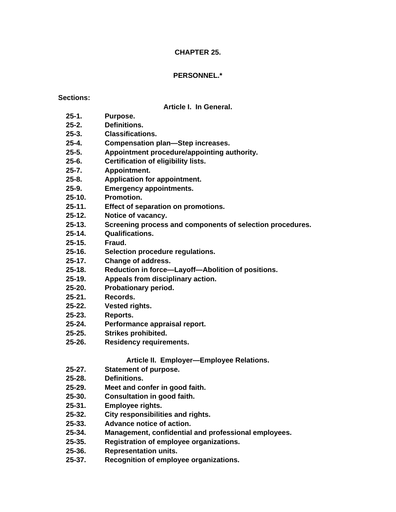## **CHAPTER 25.**

## **PERSONNEL.\***

## **Sections:**

## **Article I. In General.**

- **25-1. Purpose.**
- **25-2. Definitions.**
- **25-3. Classifications.**
- **25-4. Compensation plan—Step increases.**
- **25-5. Appointment procedure/appointing authority.**
- **25-6. Certification of eligibility lists.**
- **25-7. Appointment.**
- **25-8. Application for appointment.**
- **25-9. Emergency appointments.**
- **25-10. Promotion.**
- **25-11. Effect of separation on promotions.**
- **25-12. Notice of vacancy.**
- **25-13. Screening process and components of selection procedures.**
- **25-14. Qualifications.**
- **25-15. Fraud.**
- **25-16. Selection procedure regulations.**
- **25-17. Change of address.**
- **25-18. Reduction in force—Layoff—Abolition of positions.**
- **25-19. Appeals from disciplinary action.**
- **25-20. Probationary period.**
- **25-21. Records.**
- **25-22. Vested rights.**
- **25-23. Reports.**
- **25-24. Performance appraisal report.**
- **25-25. Strikes prohibited.**
- **25-26. Residency requirements.**

# **Article II. Employer—Employee Relations.**

- **25-27. Statement of purpose.**
- **25-28. Definitions.**
- **25-29. Meet and confer in good faith.**
- **25-30. Consultation in good faith.**
- **25-31. Employee rights.**
- **25-32. City responsibilities and rights.**
- **25-33. Advance notice of action.**
- **25-34. Management, confidential and professional employees.**
- **25-35. Registration of employee organizations.**
- **25-36. Representation units.**
- **25-37. Recognition of employee organizations.**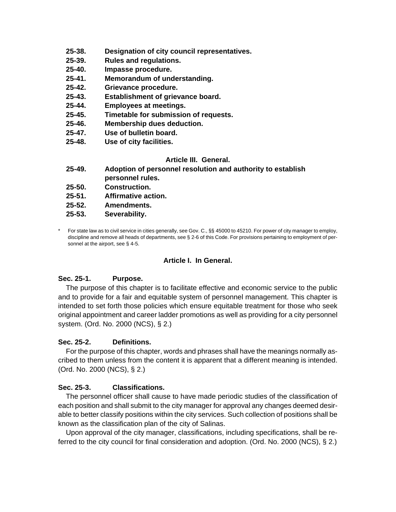- **25-38. Designation of city council representatives.**
- **25-39. Rules and regulations.**
- **25-40. Impasse procedure.**
- **25-41. Memorandum of understanding.**
- **25-42. Grievance procedure.**
- **25-43. Establishment of grievance board.**
- **25-44. Employees at meetings.**
- **25-45. Timetable for submission of requests.**
- **25-46. Membership dues deduction.**
- **25-47. Use of bulletin board.**
- **25-48. Use of city facilities.**

## **Article III. General.**

- **25-49. Adoption of personnel resolution and authority to establish personnel rules.**
- **25-50. Construction.**
- **25-51. Affirmative action.**
- **25-52. Amendments.**
- **25-53. Severability.**
- For state law as to civil service in cities generally, see Gov. C., §§ 45000 to 45210. For power of city manager to employ, discipline and remove all heads of departments, see § 2-6 of this Code. For provisions pertaining to employment of personnel at the airport, see § 4-5.

#### **Article I. In General.**

#### **Sec. 25-1. Purpose.**

 The purpose of this chapter is to facilitate effective and economic service to the public and to provide for a fair and equitable system of personnel management. This chapter is intended to set forth those policies which ensure equitable treatment for those who seek original appointment and career ladder promotions as well as providing for a city personnel system. (Ord. No. 2000 (NCS), § 2.)

#### **Sec. 25-2. Definitions.**

 For the purpose of this chapter, words and phrases shall have the meanings normally ascribed to them unless from the content it is apparent that a different meaning is intended. (Ord. No. 2000 (NCS), § 2.)

## **Sec. 25-3. Classifications.**

 The personnel officer shall cause to have made periodic studies of the classification of each position and shall submit to the city manager for approval any changes deemed desirable to better classify positions within the city services. Such collection of positions shall be known as the classification plan of the city of Salinas.

 Upon approval of the city manager, classifications, including specifications, shall be referred to the city council for final consideration and adoption. (Ord. No. 2000 (NCS), § 2.)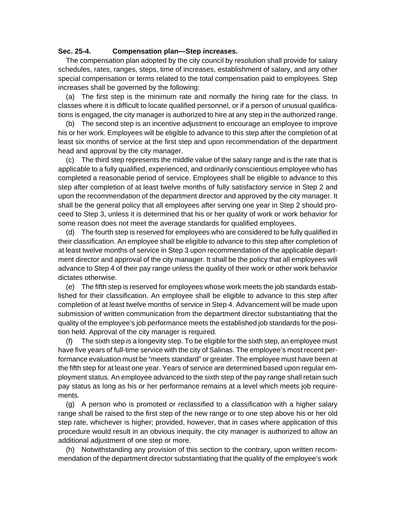#### **Sec. 25-4. Compensation plan—Step increases.**

 The compensation plan adopted by the city council by resolution shall provide for salary schedules, rates, ranges, steps, time of increases, establishment of salary, and any other special compensation or terms related to the total compensation paid to employees. Step increases shall be governed by the following:

 (a) The first step is the minimum rate and normally the hiring rate for the class. In classes where it is difficult to locate qualified personnel, or if a person of unusual qualifications is engaged, the city manager is authorized to hire at any step in the authorized range.

 (b) The second step is an incentive adjustment to encourage an employee to improve his or her work. Employees will be eligible to advance to this step after the completion of at least six months of service at the first step and upon recommendation of the department head and approval by the city manager.

 (c) The third step represents the middle value of the salary range and is the rate that is applicable to a fully qualified, experienced, and ordinarily conscientious employee who has completed a reasonable period of service. Employees shall be eligible to advance to this step after completion of at least twelve months of fully satisfactory service in Step 2 and upon the recommendation of the department director and approved by the city manager. It shall be the general policy that all employees after serving one year in Step 2 should proceed to Step 3, unless it is determined that his or her quality of work or work behavior for some reason does not meet the average standards for qualified employees.

 (d) The fourth step is reserved for employees who are considered to be fully qualified in their classification. An employee shall be eligible to advance to this step after completion of at least twelve months of service in Step 3 upon recommendation of the applicable department director and approval of the city manager. It shall be the policy that all employees will advance to Step 4 of their pay range unless the quality of their work or other work behavior dictates otherwise.

 (e) The fifth step is reserved for employees whose work meets the job standards established for their classification. An employee shall be eligible to advance to this step after completion of at least twelve months of service in Step 4. Advancement will be made upon submission of written communication from the department director substantiating that the quality of the employee's job performance meets the established job standards for the position held. Approval of the city manager is required.

 (f) The sixth step is a longevity step. To be eligible for the sixth step, an employee must have five years of full-time service with the city of Salinas. The employee's most recent performance evaluation must be "meets standard" or greater. The employee must have been at the fifth step for at least one year. Years of service are determined based upon regular employment status. An employee advanced to the sixth step of the pay range shall retain such pay status as long as his or her performance remains at a level which meets job requirements.

 (g) A person who is promoted or reclassified to a classification with a higher salary range shall be raised to the first step of the new range or to one step above his or her old step rate, whichever is higher; provided, however, that in cases where application of this procedure would result in an obvious inequity, the city manager is authorized to allow an additional adjustment of one step or more.

 (h) Notwithstanding any provision of this section to the contrary, upon written recommendation of the department director substantiating that the quality of the employee's work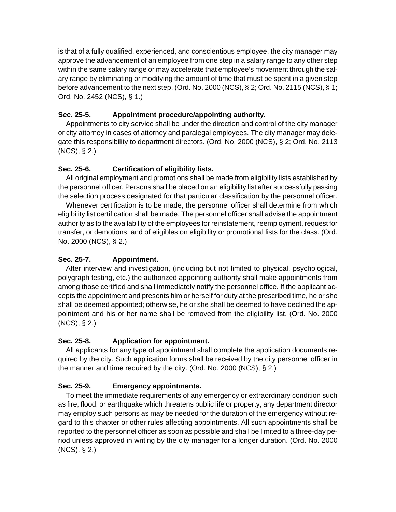is that of a fully qualified, experienced, and conscientious employee, the city manager may approve the advancement of an employee from one step in a salary range to any other step within the same salary range or may accelerate that employee's movement through the salary range by eliminating or modifying the amount of time that must be spent in a given step before advancement to the next step. (Ord. No. 2000 (NCS), § 2; Ord. No. 2115 (NCS), § 1; Ord. No. 2452 (NCS), § 1.)

# **Sec. 25-5. Appointment procedure/appointing authority.**

 Appointments to city service shall be under the direction and control of the city manager or city attorney in cases of attorney and paralegal employees. The city manager may delegate this responsibility to department directors. (Ord. No. 2000 (NCS), § 2; Ord. No. 2113 (NCS), § 2.)

# **Sec. 25-6. Certification of eligibility lists.**

 All original employment and promotions shall be made from eligibility lists established by the personnel officer. Persons shall be placed on an eligibility list after successfully passing the selection process designated for that particular classification by the personnel officer.

 Whenever certification is to be made, the personnel officer shall determine from which eligibility list certification shall be made. The personnel officer shall advise the appointment authority as to the availability of the employees for reinstatement, reemployment, request for transfer, or demotions, and of eligibles on eligibility or promotional lists for the class. (Ord. No. 2000 (NCS), § 2.)

# **Sec. 25-7. Appointment.**

 After interview and investigation, (including but not limited to physical, psychological, polygraph testing, etc.) the authorized appointing authority shall make appointments from among those certified and shall immediately notify the personnel office. If the applicant accepts the appointment and presents him or herself for duty at the prescribed time, he or she shall be deemed appointed; otherwise, he or she shall be deemed to have declined the appointment and his or her name shall be removed from the eligibility list. (Ord. No. 2000 (NCS), § 2.)

# **Sec. 25-8. Application for appointment.**

 All applicants for any type of appointment shall complete the application documents required by the city. Such application forms shall be received by the city personnel officer in the manner and time required by the city. (Ord. No. 2000 (NCS), § 2.)

# **Sec. 25-9. Emergency appointments.**

 To meet the immediate requirements of any emergency or extraordinary condition such as fire, flood, or earthquake which threatens public life or property, any department director may employ such persons as may be needed for the duration of the emergency without regard to this chapter or other rules affecting appointments. All such appointments shall be reported to the personnel officer as soon as possible and shall be limited to a three-day period unless approved in writing by the city manager for a longer duration. (Ord. No. 2000 (NCS), § 2.)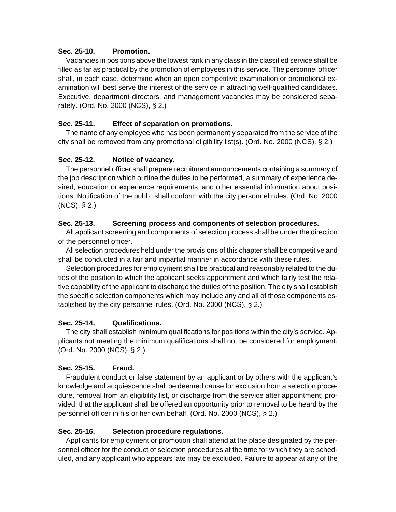#### **Sec. 25-10. Promotion.**

 Vacancies in positions above the lowest rank in any class in the classified service shall be filled as far as practical by the promotion of employees in this service. The personnel officer shall, in each case, determine when an open competitive examination or promotional examination will best serve the interest of the service in attracting well-qualified candidates. Executive, department directors, and management vacancies may be considered separately. (Ord. No. 2000 (NCS), § 2.)

## **Sec. 25-11. Effect of separation on promotions.**

 The name of any employee who has been permanently separated from the service of the city shall be removed from any promotional eligibility list(s). (Ord. No. 2000 (NCS), § 2.)

## **Sec. 25-12. Notice of vacancy.**

 The personnel officer shall prepare recruitment announcements containing a summary of the job description which outline the duties to be performed, a summary of experience desired, education or experience requirements, and other essential information about positions. Notification of the public shall conform with the city personnel rules. (Ord. No. 2000 (NCS), § 2.)

#### **Sec. 25-13. Screening process and components of selection procedures.**

 All applicant screening and components of selection process shall be under the direction of the personnel officer.

 All selection procedures held under the provisions of this chapter shall be competitive and shall be conducted in a fair and impartial manner in accordance with these rules.

 Selection procedures for employment shall be practical and reasonably related to the duties of the position to which the applicant seeks appointment and which fairly test the relative capability of the applicant to discharge the duties of the position. The city shall establish the specific selection components which may include any and all of those components established by the city personnel rules. (Ord. No. 2000 (NCS), § 2.)

## **Sec. 25-14. Qualifications.**

 The city shall establish minimum qualifications for positions within the city's service. Applicants not meeting the minimum qualifications shall not be considered for employment. (Ord. No. 2000 (NCS), § 2.)

## **Sec. 25-15. Fraud.**

 Fraudulent conduct or false statement by an applicant or by others with the applicant's knowledge and acquiescence shall be deemed cause for exclusion from a selection procedure, removal from an eligibility list, or discharge from the service after appointment; provided, that the applicant shall be offered an opportunity prior to removal to be heard by the personnel officer in his or her own behalf. (Ord. No. 2000 (NCS), § 2.)

#### **Sec. 25-16. Selection procedure regulations.**

 Applicants for employment or promotion shall attend at the place designated by the personnel officer for the conduct of selection procedures at the time for which they are scheduled, and any applicant who appears late may be excluded. Failure to appear at any of the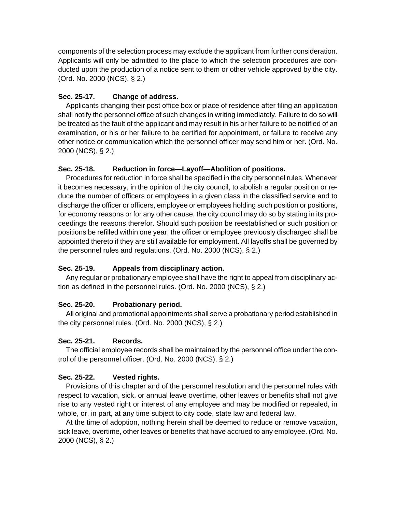components of the selection process may exclude the applicant from further consideration. Applicants will only be admitted to the place to which the selection procedures are conducted upon the production of a notice sent to them or other vehicle approved by the city. (Ord. No. 2000 (NCS), § 2.)

## **Sec. 25-17. Change of address.**

 Applicants changing their post office box or place of residence after filing an application shall notify the personnel office of such changes in writing immediately. Failure to do so will be treated as the fault of the applicant and may result in his or her failure to be notified of an examination, or his or her failure to be certified for appointment, or failure to receive any other notice or communication which the personnel officer may send him or her. (Ord. No. 2000 (NCS), § 2.)

## **Sec. 25-18. Reduction in force—Layoff—Abolition of positions.**

 Procedures for reduction in force shall be specified in the city personnel rules. Whenever it becomes necessary, in the opinion of the city council, to abolish a regular position or reduce the number of officers or employees in a given class in the classified service and to discharge the officer or officers, employee or employees holding such position or positions, for economy reasons or for any other cause, the city council may do so by stating in its proceedings the reasons therefor. Should such position be reestablished or such position or positions be refilled within one year, the officer or employee previously discharged shall be appointed thereto if they are still available for employment. All layoffs shall be governed by the personnel rules and regulations. (Ord. No. 2000 (NCS), § 2.)

# **Sec. 25-19. Appeals from disciplinary action.**

 Any regular or probationary employee shall have the right to appeal from disciplinary action as defined in the personnel rules. (Ord. No. 2000 (NCS), § 2.)

## **Sec. 25-20. Probationary period.**

 All original and promotional appointments shall serve a probationary period established in the city personnel rules. (Ord. No. 2000 (NCS), § 2.)

## **Sec. 25-21. Records.**

 The official employee records shall be maintained by the personnel office under the control of the personnel officer. (Ord. No. 2000 (NCS), § 2.)

# **Sec. 25-22. Vested rights.**

 Provisions of this chapter and of the personnel resolution and the personnel rules with respect to vacation, sick, or annual leave overtime, other leaves or benefits shall not give rise to any vested right or interest of any employee and may be modified or repealed, in whole, or, in part, at any time subject to city code, state law and federal law.

 At the time of adoption, nothing herein shall be deemed to reduce or remove vacation, sick leave, overtime, other leaves or benefits that have accrued to any employee. (Ord. No. 2000 (NCS), § 2.)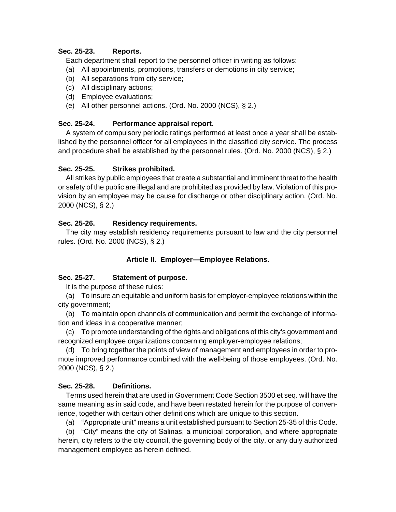### **Sec. 25-23. Reports.**

Each department shall report to the personnel officer in writing as follows:

- (a) All appointments, promotions, transfers or demotions in city service;
- (b) All separations from city service;
- (c) All disciplinary actions;
- (d) Employee evaluations;
- (e) All other personnel actions. (Ord. No. 2000 (NCS), § 2.)

## **Sec. 25-24. Performance appraisal report.**

 A system of compulsory periodic ratings performed at least once a year shall be established by the personnel officer for all employees in the classified city service. The process and procedure shall be established by the personnel rules. (Ord. No. 2000 (NCS), § 2.)

## **Sec. 25-25. Strikes prohibited.**

 All strikes by public employees that create a substantial and imminent threat to the health or safety of the public are illegal and are prohibited as provided by law. Violation of this provision by an employee may be cause for discharge or other disciplinary action. (Ord. No. 2000 (NCS), § 2.)

## **Sec. 25-26. Residency requirements.**

 The city may establish residency requirements pursuant to law and the city personnel rules. (Ord. No. 2000 (NCS), § 2.)

## **Article II. Employer—Employee Relations.**

## **Sec. 25-27. Statement of purpose.**

It is the purpose of these rules:

 (a) To insure an equitable and uniform basis for employer-employee relations within the city government;

 (b) To maintain open channels of communication and permit the exchange of information and ideas in a cooperative manner;

 (c) To promote understanding of the rights and obligations of this city's government and recognized employee organizations concerning employer-employee relations;

 (d) To bring together the points of view of management and employees in order to promote improved performance combined with the well-being of those employees. (Ord. No. 2000 (NCS), § 2.)

## **Sec. 25-28. Definitions.**

 Terms used herein that are used in Government Code Section 3500 et seq. will have the same meaning as in said code, and have been restated herein for the purpose of convenience, together with certain other definitions which are unique to this section.

(a) "Appropriate unit" means a unit established pursuant to Section 25-35 of this Code.

 (b) "City" means the city of Salinas, a municipal corporation, and where appropriate herein, city refers to the city council, the governing body of the city, or any duly authorized management employee as herein defined.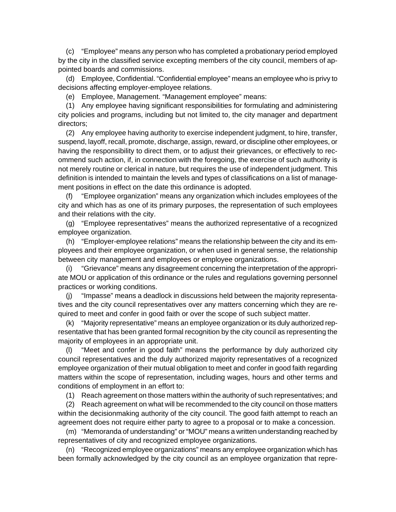(c) "Employee" means any person who has completed a probationary period employed by the city in the classified service excepting members of the city council, members of appointed boards and commissions.

 (d) Employee, Confidential. "Confidential employee" means an employee who is privy to decisions affecting employer-employee relations.

(e) Employee, Management. "Management employee" means:

 (1) Any employee having significant responsibilities for formulating and administering city policies and programs, including but not limited to, the city manager and department directors;

 (2) Any employee having authority to exercise independent judgment, to hire, transfer, suspend, layoff, recall, promote, discharge, assign, reward, or discipline other employees, or having the responsibility to direct them, or to adjust their grievances, or effectively to recommend such action, if, in connection with the foregoing, the exercise of such authority is not merely routine or clerical in nature, but requires the use of independent judgment. This definition is intended to maintain the levels and types of classifications on a list of management positions in effect on the date this ordinance is adopted.

 (f) "Employee organization" means any organization which includes employees of the city and which has as one of its primary purposes, the representation of such employees and their relations with the city.

 (g) "Employee representatives" means the authorized representative of a recognized employee organization.

 (h) "Employer-employee relations" means the relationship between the city and its employees and their employee organization, or when used in general sense, the relationship between city management and employees or employee organizations.

 (i) "Grievance" means any disagreement concerning the interpretation of the appropriate MOU or application of this ordinance or the rules and regulations governing personnel practices or working conditions.

 (j) "Impasse" means a deadlock in discussions held between the majority representatives and the city council representatives over any matters concerning which they are required to meet and confer in good faith or over the scope of such subject matter.

 (k) "Majority representative" means an employee organization or its duly authorized representative that has been granted formal recognition by the city council as representing the majority of employees in an appropriate unit.

 (l) "Meet and confer in good faith" means the performance by duly authorized city council representatives and the duly authorized majority representatives of a recognized employee organization of their mutual obligation to meet and confer in good faith regarding matters within the scope of representation, including wages, hours and other terms and conditions of employment in an effort to:

(1) Reach agreement on those matters within the authority of such representatives; and

 (2) Reach agreement on what will be recommended to the city council on those matters within the decisionmaking authority of the city council. The good faith attempt to reach an agreement does not require either party to agree to a proposal or to make a concession.

 (m) "Memoranda of understanding" or "MOU" means a written understanding reached by representatives of city and recognized employee organizations.

 (n) "Recognized employee organizations" means any employee organization which has been formally acknowledged by the city council as an employee organization that repre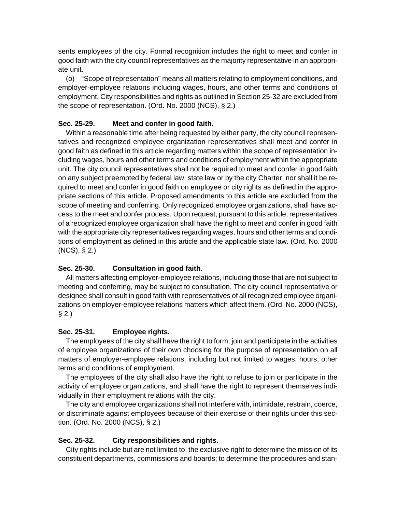sents employees of the city. Formal recognition includes the right to meet and confer in good faith with the city council representatives as the majority representative in an appropriate unit.

 (o) "Scope of representation" means all matters relating to employment conditions, and employer-employee relations including wages, hours, and other terms and conditions of employment. City responsibilities and rights as outlined in Section 25-32 are excluded from the scope of representation. (Ord. No. 2000 (NCS), § 2.)

#### **Sec. 25-29. Meet and confer in good faith.**

 Within a reasonable time after being requested by either party, the city council representatives and recognized employee organization representatives shall meet and confer in good faith as defined in this article regarding matters within the scope of representation including wages, hours and other terms and conditions of employment within the appropriate unit. The city council representatives shall not be required to meet and confer in good faith on any subject preempted by federal law, state law or by the city Charter, nor shall it be required to meet and confer in good faith on employee or city rights as defined in the appropriate sections of this article. Proposed amendments to this article are excluded from the scope of meeting and conferring. Only recognized employee organizations, shall have access to the meet and confer process. Upon request, pursuant to this article, representatives of a recognized employee organization shall have the right to meet and confer in good faith with the appropriate city representatives regarding wages, hours and other terms and conditions of employment as defined in this article and the applicable state law. (Ord. No. 2000 (NCS), § 2.)

## **Sec. 25-30. Consultation in good faith.**

 All matters affecting employer-employee relations, including those that are not subject to meeting and conferring, may be subject to consultation. The city council representative or designee shall consult in good faith with representatives of all recognized employee organizations on employer-employee relations matters which affect them. (Ord. No. 2000 (NCS),  $§ 2.$ 

#### **Sec. 25-31. Employee rights.**

 The employees of the city shall have the right to form, join and participate in the activities of employee organizations of their own choosing for the purpose of representation on all matters of employer-employee relations, including but not limited to wages, hours, other terms and conditions of employment.

 The employees of the city shall also have the right to refuse to join or participate in the activity of employee organizations, and shall have the right to represent themselves individually in their employment relations with the city.

 The city and employee organizations shall not interfere with, intimidate, restrain, coerce, or discriminate against employees because of their exercise of their rights under this section. (Ord. No. 2000 (NCS), § 2.)

#### **Sec. 25-32. City responsibilities and rights.**

 City rights include but are not limited to, the exclusive right to determine the mission of its constituent departments, commissions and boards; to determine the procedures and stan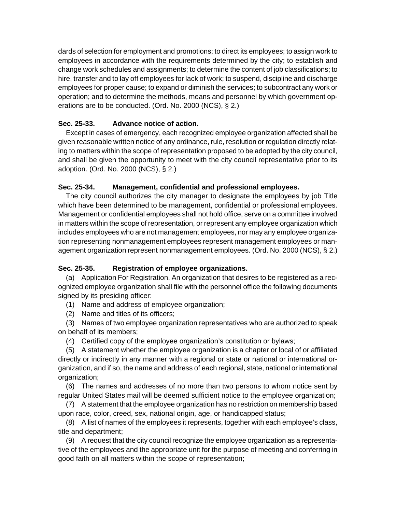dards of selection for employment and promotions; to direct its employees; to assign work to employees in accordance with the requirements determined by the city; to establish and change work schedules and assignments; to determine the content of job classifications; to hire, transfer and to lay off employees for lack of work; to suspend, discipline and discharge employees for proper cause; to expand or diminish the services; to subcontract any work or operation; and to determine the methods, means and personnel by which government operations are to be conducted. (Ord. No. 2000 (NCS), § 2.)

## **Sec. 25-33. Advance notice of action.**

 Except in cases of emergency, each recognized employee organization affected shall be given reasonable written notice of any ordinance, rule, resolution or regulation directly relating to matters within the scope of representation proposed to be adopted by the city council, and shall be given the opportunity to meet with the city council representative prior to its adoption. (Ord. No. 2000 (NCS), § 2.)

## **Sec. 25-34. Management, confidential and professional employees.**

 The city council authorizes the city manager to designate the employees by job Title which have been determined to be management, confidential or professional employees. Management or confidential employees shall not hold office, serve on a committee involved in matters within the scope of representation, or represent any employee organization which includes employees who are not management employees, nor may any employee organization representing nonmanagement employees represent management employees or management organization represent nonmanagement employees. (Ord. No. 2000 (NCS), § 2.)

# **Sec. 25-35. Registration of employee organizations.**

 (a) Application For Registration. An organization that desires to be registered as a recognized employee organization shall file with the personnel office the following documents signed by its presiding officer:

- (1) Name and address of employee organization;
- (2) Name and titles of its officers;

 (3) Names of two employee organization representatives who are authorized to speak on behalf of its members;

(4) Certified copy of the employee organization's constitution or bylaws;

 (5) A statement whether the employee organization is a chapter or local of or affiliated directly or indirectly in any manner with a regional or state or national or international organization, and if so, the name and address of each regional, state, national or international organization;

 (6) The names and addresses of no more than two persons to whom notice sent by regular United States mail will be deemed sufficient notice to the employee organization;

 (7) A statement that the employee organization has no restriction on membership based upon race, color, creed, sex, national origin, age, or handicapped status;

 (8) A list of names of the employees it represents, together with each employee's class, title and department;

 (9) A request that the city council recognize the employee organization as a representative of the employees and the appropriate unit for the purpose of meeting and conferring in good faith on all matters within the scope of representation;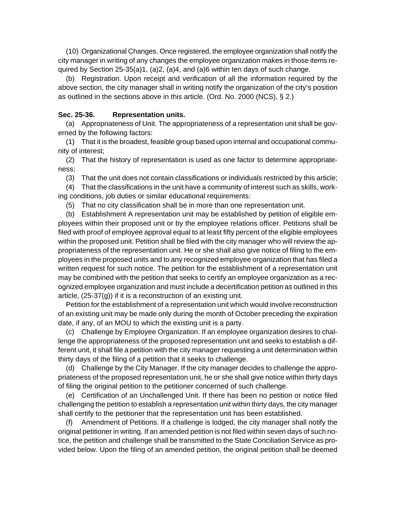(10) Organizational Changes. Once registered, the employee organization shall notify the city manager in writing of any changes the employee organization makes in those items required by Section 25-35(a)1, (a)2, (a)4, and (a)6 within ten days of such change.

 (b) Registration. Upon receipt and verification of all the information required by the above section, the city manager shall in writing notify the organization of the city's position as outlined in the sections above in this article. (Ord. No. 2000 (NCS), § 2.)

#### **Sec. 25-36. Representation units.**

 (a) Appropriateness of Unit. The appropriateness of a representation unit shall be governed by the following factors:

 (1) That it is the broadest, feasible group based upon internal and occupational community of interest;

 (2) That the history of representation is used as one factor to determine appropriateness;

(3) That the unit does not contain classifications or individuals restricted by this article;

 (4) That the classifications in the unit have a community of interest such as skills, working conditions, job duties or similar educational requirements:

(5) That no city classification shall be in more than one representation unit.

 (b) Establishment A representation unit may be established by petition of eligible employees within their proposed unit or by the employee relations officer. Petitions shall be filed with proof of employee approval equal to at least fifty percent of the eligible employees within the proposed unit. Petition shall be filed with the city manager who will review the appropriateness of the representation unit. He or she shall also give notice of filing to the employees in the proposed units and to any recognized employee organization that has filed a written request for such notice. The petition for the establishment of a representation unit may be combined with the petition that seeks to certify an employee organization as a recognized employee organization and must include a decertification petition as outlined in this article, (25-37(g)) if it is a reconstruction of an existing unit.

 Petition for the establishment of a representation unit which would involve reconstruction of an existing unit may be made only during the month of October preceding the expiration date, if any, of an MOU to which the existing unit is a party.

 (c) Challenge by Employee Organization. If an employee organization desires to challenge the appropriateness of the proposed representation unit and seeks to establish a different unit, it shall file a petition with the city manager requesting a unit determination within thirty days of the filing of a petition that it seeks to challenge.

 (d) Challenge by the City Manager. If the city manager decides to challenge the appropriateness of the proposed representation unit, he or she shall give notice within thirty days of filing the original petition to the petitioner concerned of such challenge.

 (e) Certification of an Unchallenged Unit. If there has been no petition or notice filed challenging the petition to establish a representation unit within thirty days, the city manager shall certify to the petitioner that the representation unit has been established.

 (f) Amendment of Petitions. If a challenge is lodged, the city manager shall notify the original petitioner in writing. If an amended petition is not filed within seven days of such notice, the petition and challenge shall be transmitted to the State Conciliation Service as provided below. Upon the filing of an amended petition, the original petition shall be deemed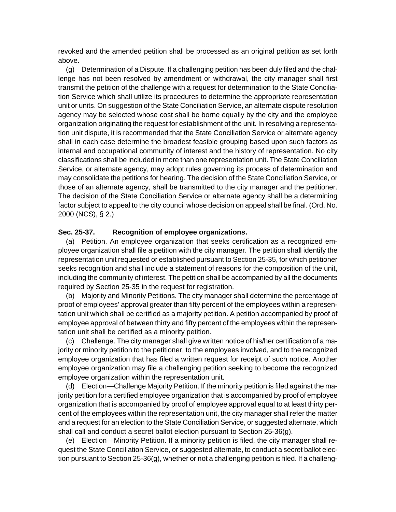revoked and the amended petition shall be processed as an original petition as set forth above.

 (g) Determination of a Dispute. If a challenging petition has been duly filed and the challenge has not been resolved by amendment or withdrawal, the city manager shall first transmit the petition of the challenge with a request for determination to the State Conciliation Service which shall utilize its procedures to determine the appropriate representation unit or units. On suggestion of the State Conciliation Service, an alternate dispute resolution agency may be selected whose cost shall be borne equally by the city and the employee organization originating the request for establishment of the unit. In resolving a representation unit dispute, it is recommended that the State Conciliation Service or alternate agency shall in each case determine the broadest feasible grouping based upon such factors as internal and occupational community of interest and the history of representation. No city classifications shall be included in more than one representation unit. The State Conciliation Service, or alternate agency, may adopt rules governing its process of determination and may consolidate the petitions for hearing. The decision of the State Conciliation Service, or those of an alternate agency, shall be transmitted to the city manager and the petitioner. The decision of the State Conciliation Service or alternate agency shall be a determining factor subject to appeal to the city council whose decision on appeal shall be final. (Ord. No. 2000 (NCS), § 2.)

#### **Sec. 25-37. Recognition of employee organizations.**

 (a) Petition. An employee organization that seeks certification as a recognized employee organization shall file a petition with the city manager. The petition shall identify the representation unit requested or established pursuant to Section 25-35, for which petitioner seeks recognition and shall include a statement of reasons for the composition of the unit, including the community of interest. The petition shall be accompanied by all the documents required by Section 25-35 in the request for registration.

 (b) Majority and Minority Petitions. The city manager shall determine the percentage of proof of employees' approval greater than fifty percent of the employees within a representation unit which shall be certified as a majority petition. A petition accompanied by proof of employee approval of between thirty and fifty percent of the employees within the representation unit shall be certified as a minority petition.

 (c) Challenge. The city manager shall give written notice of his/her certification of a majority or minority petition to the petitioner, to the employees involved, and to the recognized employee organization that has filed a written request for receipt of such notice. Another employee organization may file a challenging petition seeking to become the recognized employee organization within the representation unit.

 (d) Election—Challenge Majority Petition. If the minority petition is filed against the majority petition for a certified employee organization that is accompanied by proof of employee organization that is accompanied by proof of employee approval equal to at least thirty percent of the employees within the representation unit, the city manager shall refer the matter and a request for an election to the State Conciliation Service, or suggested alternate, which shall call and conduct a secret ballot election pursuant to Section 25-36(g).

 (e) Election—Minority Petition. If a minority petition is filed, the city manager shall request the State Conciliation Service, or suggested alternate, to conduct a secret ballot election pursuant to Section 25-36(g), whether or not a challenging petition is filed. If a challeng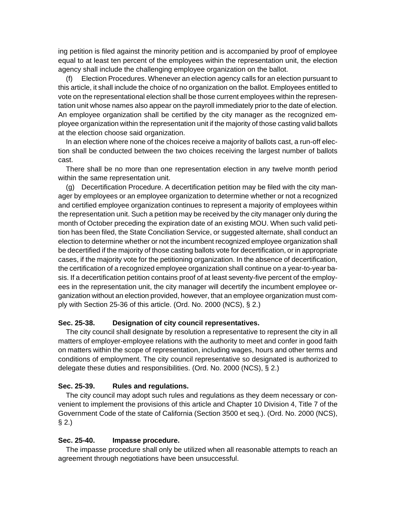ing petition is filed against the minority petition and is accompanied by proof of employee equal to at least ten percent of the employees within the representation unit, the election agency shall include the challenging employee organization on the ballot.

 (f) Election Procedures. Whenever an election agency calls for an election pursuant to this article, it shall include the choice of no organization on the ballot. Employees entitled to vote on the representational election shall be those current employees within the representation unit whose names also appear on the payroll immediately prior to the date of election. An employee organization shall be certified by the city manager as the recognized employee organization within the representation unit if the majority of those casting valid ballots at the election choose said organization.

 In an election where none of the choices receive a majority of ballots cast, a run-off election shall be conducted between the two choices receiving the largest number of ballots cast.

 There shall be no more than one representation election in any twelve month period within the same representation unit.

 (g) Decertification Procedure. A decertification petition may be filed with the city manager by employees or an employee organization to determine whether or not a recognized and certified employee organization continues to represent a majority of employees within the representation unit. Such a petition may be received by the city manager only during the month of October preceding the expiration date of an existing MOU. When such valid petition has been filed, the State Conciliation Service, or suggested alternate, shall conduct an election to determine whether or not the incumbent recognized employee organization shall be decertified if the majority of those casting ballots vote for decertification, or in appropriate cases, if the majority vote for the petitioning organization. In the absence of decertification, the certification of a recognized employee organization shall continue on a year-to-year basis. If a decertification petition contains proof of at least seventy-five percent of the employees in the representation unit, the city manager will decertify the incumbent employee organization without an election provided, however, that an employee organization must comply with Section 25-36 of this article. (Ord. No. 2000 (NCS), § 2.)

#### **Sec. 25-38. Designation of city council representatives.**

 The city council shall designate by resolution a representative to represent the city in all matters of employer-employee relations with the authority to meet and confer in good faith on matters within the scope of representation, including wages, hours and other terms and conditions of employment. The city council representative so designated is authorized to delegate these duties and responsibilities. (Ord. No. 2000 (NCS), § 2.)

## **Sec. 25-39. Rules and regulations.**

 The city council may adopt such rules and regulations as they deem necessary or convenient to implement the provisions of this article and Chapter 10 Division 4, Title 7 of the Government Code of the state of California (Section 3500 et seq.). (Ord. No. 2000 (NCS), § 2.)

#### **Sec. 25-40. Impasse procedure.**

 The impasse procedure shall only be utilized when all reasonable attempts to reach an agreement through negotiations have been unsuccessful.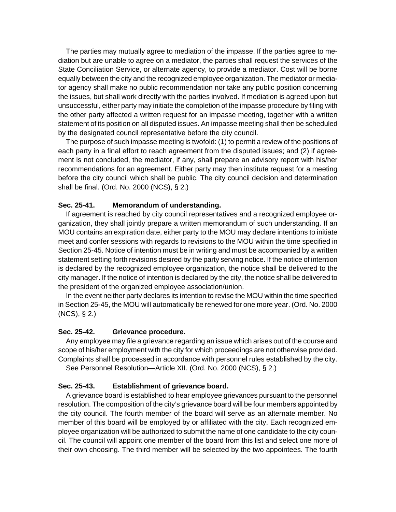The parties may mutually agree to mediation of the impasse. If the parties agree to mediation but are unable to agree on a mediator, the parties shall request the services of the State Conciliation Service, or alternate agency, to provide a mediator. Cost will be borne equally between the city and the recognized employee organization. The mediator or mediator agency shall make no public recommendation nor take any public position concerning the issues, but shall work directly with the parties involved. If mediation is agreed upon but unsuccessful, either party may initiate the completion of the impasse procedure by filing with the other party affected a written request for an impasse meeting, together with a written statement of its position on all disputed issues. An impasse meeting shall then be scheduled by the designated council representative before the city council.

 The purpose of such impasse meeting is twofold: (1) to permit a review of the positions of each party in a final effort to reach agreement from the disputed issues; and (2) if agreement is not concluded, the mediator, if any, shall prepare an advisory report with his/her recommendations for an agreement. Either party may then institute request for a meeting before the city council which shall be public. The city council decision and determination shall be final. (Ord. No. 2000 (NCS), § 2.)

#### **Sec. 25-41. Memorandum of understanding.**

 If agreement is reached by city council representatives and a recognized employee organization, they shall jointly prepare a written memorandum of such understanding. If an MOU contains an expiration date, either party to the MOU may declare intentions to initiate meet and confer sessions with regards to revisions to the MOU within the time specified in Section 25-45. Notice of intention must be in writing and must be accompanied by a written statement setting forth revisions desired by the party serving notice. If the notice of intention is declared by the recognized employee organization, the notice shall be delivered to the city manager. If the notice of intention is declared by the city, the notice shall be delivered to the president of the organized employee association/union.

 In the event neither party declares its intention to revise the MOU within the time specified in Section 25-45, the MOU will automatically be renewed for one more year. (Ord. No. 2000 (NCS), § 2.)

#### **Sec. 25-42. Grievance procedure.**

 Any employee may file a grievance regarding an issue which arises out of the course and scope of his/her employment with the city for which proceedings are not otherwise provided. Complaints shall be processed in accordance with personnel rules established by the city.

See Personnel Resolution—Article XII. (Ord. No. 2000 (NCS), § 2.)

#### **Sec. 25-43. Establishment of grievance board.**

 A grievance board is established to hear employee grievances pursuant to the personnel resolution. The composition of the city's grievance board will be four members appointed by the city council. The fourth member of the board will serve as an alternate member. No member of this board will be employed by or affiliated with the city. Each recognized employee organization will be authorized to submit the name of one candidate to the city council. The council will appoint one member of the board from this list and select one more of their own choosing. The third member will be selected by the two appointees. The fourth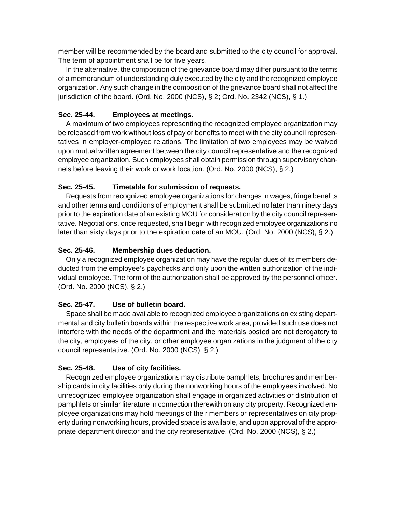member will be recommended by the board and submitted to the city council for approval. The term of appointment shall be for five years.

 In the alternative, the composition of the grievance board may differ pursuant to the terms of a memorandum of understanding duly executed by the city and the recognized employee organization. Any such change in the composition of the grievance board shall not affect the jurisdiction of the board. (Ord. No. 2000 (NCS), § 2; Ord. No. 2342 (NCS), § 1.)

## **Sec. 25-44. Employees at meetings.**

 A maximum of two employees representing the recognized employee organization may be released from work without loss of pay or benefits to meet with the city council representatives in employer-employee relations. The limitation of two employees may be waived upon mutual written agreement between the city council representative and the recognized employee organization. Such employees shall obtain permission through supervisory channels before leaving their work or work location. (Ord. No. 2000 (NCS), § 2.)

## **Sec. 25-45. Timetable for submission of requests.**

 Requests from recognized employee organizations for changes in wages, fringe benefits and other terms and conditions of employment shall be submitted no later than ninety days prior to the expiration date of an existing MOU for consideration by the city council representative. Negotiations, once requested, shall begin with recognized employee organizations no later than sixty days prior to the expiration date of an MOU. (Ord. No. 2000 (NCS), § 2.)

## **Sec. 25-46. Membership dues deduction.**

 Only a recognized employee organization may have the regular dues of its members deducted from the employee's paychecks and only upon the written authorization of the individual employee. The form of the authorization shall be approved by the personnel officer. (Ord. No. 2000 (NCS), § 2.)

## **Sec. 25-47. Use of bulletin board.**

 Space shall be made available to recognized employee organizations on existing departmental and city bulletin boards within the respective work area, provided such use does not interfere with the needs of the department and the materials posted are not derogatory to the city, employees of the city, or other employee organizations in the judgment of the city council representative. (Ord. No. 2000 (NCS), § 2.)

# **Sec. 25-48. Use of city facilities.**

 Recognized employee organizations may distribute pamphlets, brochures and membership cards in city facilities only during the nonworking hours of the employees involved. No unrecognized employee organization shall engage in organized activities or distribution of pamphlets or similar literature in connection therewith on any city property. Recognized employee organizations may hold meetings of their members or representatives on city property during nonworking hours, provided space is available, and upon approval of the appropriate department director and the city representative. (Ord. No. 2000 (NCS), § 2.)